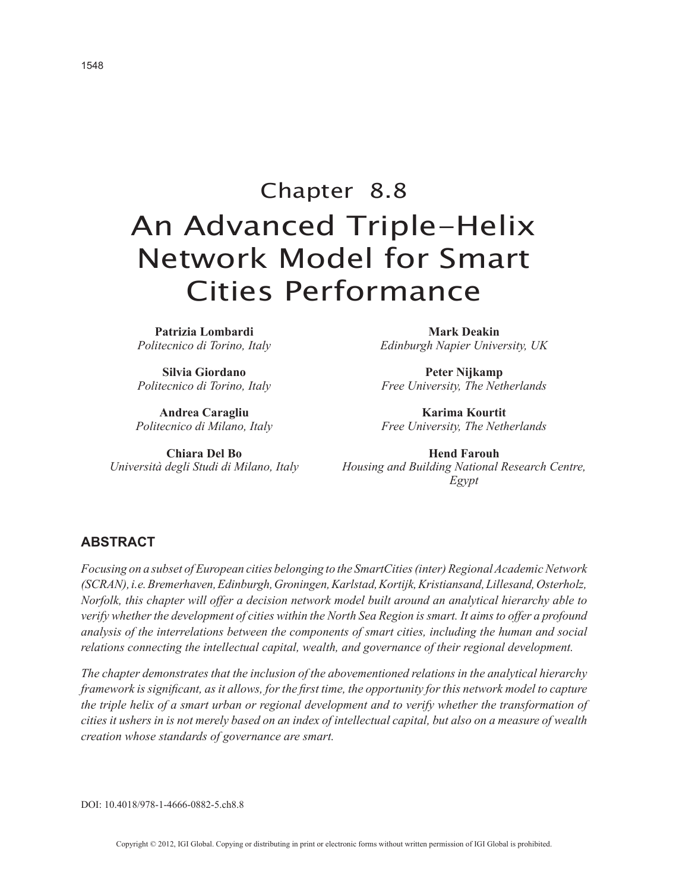# Chapter 8.8 An Advanced Triple-Helix Network Model for Smart Cities Performance

**Patrizia Lombardi** *Politecnico di Torino, Italy*

**Silvia Giordano** *Politecnico di Torino, Italy*

**Andrea Caragliu** *Politecnico di Milano, Italy*

**Chiara Del Bo** *Università degli Studi di Milano, Italy*

**Mark Deakin** *Edinburgh Napier University, UK*

**Peter Nijkamp** *Free University, The Netherlands*

**Karima Kourtit** *Free University, The Netherlands*

**Hend Farouh** *Housing and Building National Research Centre, Egypt*

### **ABSTRACT**

*Focusing on a subset of European cities belonging to the SmartCities (inter) Regional Academic Network (SCRAN), i.e. Bremerhaven, Edinburgh, Groningen, Karlstad, Kortijk, Kristiansand, Lillesand, Osterholz, Norfolk, this chapter will offer a decision network model built around an analytical hierarchy able to verify whether the development of cities within the North Sea Region is smart. It aims to offer a profound analysis of the interrelations between the components of smart cities, including the human and social relations connecting the intellectual capital, wealth, and governance of their regional development.*

*The chapter demonstrates that the inclusion of the abovementioned relations in the analytical hierarchy framework is significant, as it allows, for the first time, the opportunity for this network model to capture the triple helix of a smart urban or regional development and to verify whether the transformation of cities it ushers in is not merely based on an index of intellectual capital, but also on a measure of wealth creation whose standards of governance are smart.*

DOI: 10.4018/978-1-4666-0882-5.ch8.8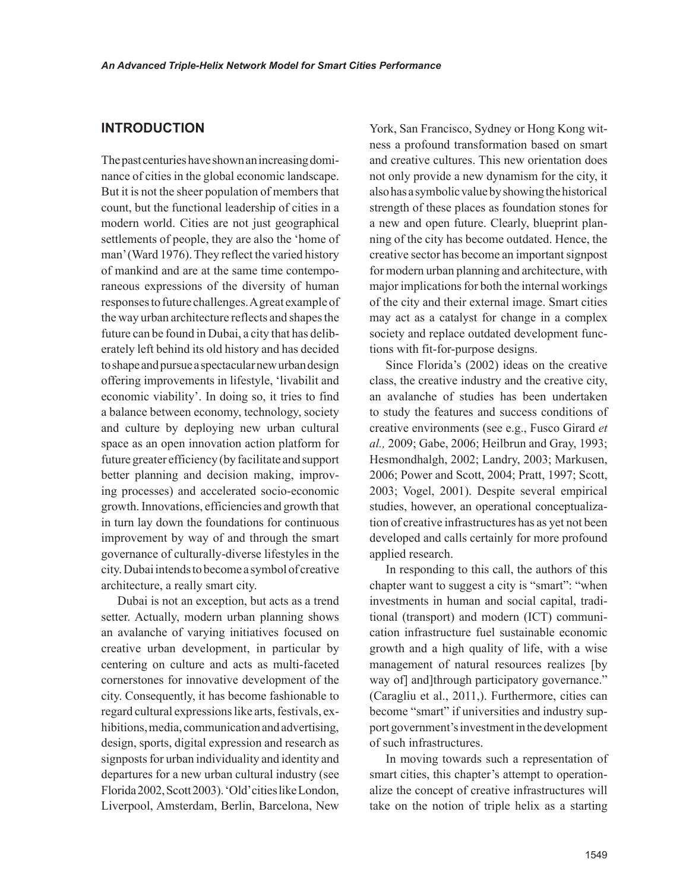## **INTRODUCTION**

The past centuries have shown an increasing dominance of cities in the global economic landscape. But it is not the sheer population of members that count, but the functional leadership of cities in a modern world. Cities are not just geographical settlements of people, they are also the 'home of man' (Ward 1976). They reflect the varied history of mankind and are at the same time contemporaneous expressions of the diversity of human responses to future challenges. A great example of the way urban architecture reflects and shapes the future can be found in Dubai, a city that has deliberately left behind its old history and has decided to shape and pursue a spectacular new urban design offering improvements in lifestyle, 'livabilit and economic viability'. In doing so, it tries to find a balance between economy, technology, society and culture by deploying new urban cultural space as an open innovation action platform for future greater efficiency (by facilitate and support better planning and decision making, improving processes) and accelerated socio-economic growth. Innovations, efficiencies and growth that in turn lay down the foundations for continuous improvement by way of and through the smart governance of culturally-diverse lifestyles in the city. Dubai intends to become a symbol of creative architecture, a really smart city.

Dubai is not an exception, but acts as a trend setter. Actually, modern urban planning shows an avalanche of varying initiatives focused on creative urban development, in particular by centering on culture and acts as multi-faceted cornerstones for innovative development of the city. Consequently, it has become fashionable to regard cultural expressions like arts, festivals, exhibitions, media, communication and advertising, design, sports, digital expression and research as signposts for urban individuality and identity and departures for a new urban cultural industry (see Florida 2002, Scott 2003). 'Old' cities like London, Liverpool, Amsterdam, Berlin, Barcelona, New

York, San Francisco, Sydney or Hong Kong witness a profound transformation based on smart and creative cultures. This new orientation does not only provide a new dynamism for the city, it also has a symbolic value by showing the historical strength of these places as foundation stones for a new and open future. Clearly, blueprint planning of the city has become outdated. Hence, the creative sector has become an important signpost for modern urban planning and architecture, with major implications for both the internal workings of the city and their external image. Smart cities may act as a catalyst for change in a complex society and replace outdated development functions with fit-for-purpose designs.

Since Florida's (2002) ideas on the creative class, the creative industry and the creative city, an avalanche of studies has been undertaken to study the features and success conditions of creative environments (see e.g., Fusco Girard *et al.,* 2009; Gabe, 2006; Heilbrun and Gray, 1993; Hesmondhalgh, 2002; Landry, 2003; Markusen, 2006; Power and Scott, 2004; Pratt, 1997; Scott, 2003; Vogel, 2001). Despite several empirical studies, however, an operational conceptualization of creative infrastructures has as yet not been developed and calls certainly for more profound applied research.

In responding to this call, the authors of this chapter want to suggest a city is "smart": "when investments in human and social capital, traditional (transport) and modern (ICT) communication infrastructure fuel sustainable economic growth and a high quality of life, with a wise management of natural resources realizes [by way of] and]through participatory governance." (Caragliu et al., 2011,). Furthermore, cities can become "smart" if universities and industry support government's investment in the development of such infrastructures.

In moving towards such a representation of smart cities, this chapter's attempt to operationalize the concept of creative infrastructures will take on the notion of triple helix as a starting